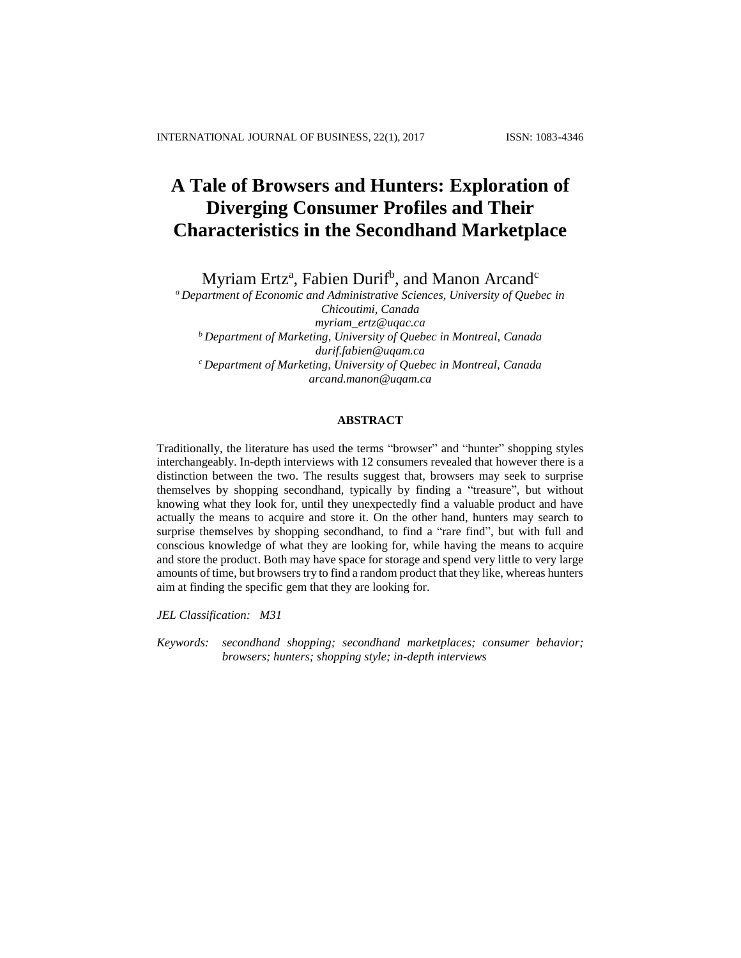# **A Tale of Browsers and Hunters: Exploration of Diverging Consumer Profiles and Their Characteristics in the Secondhand Marketplace**

Myriam Ertz<sup>a</sup>, Fabien Durif<sup>b</sup>, and Manon Arcand<sup>c</sup>

*<sup>a</sup>Department of Economic and Administrative Sciences, University of Quebec in Chicoutimi, Canada [myriam\\_ertz@uqac.ca](mailto:myriam_ertz@uqac.ca) <sup>b</sup>Department of Marketing, University of Quebec in Montreal, Canada [durif.fabien@uqam.ca](mailto:durif.fabien@uqam.ca) <sup>c</sup>Department of Marketing, University of Quebec in Montreal, Canada [arcand.manon@uqam.ca](mailto:arcand.manon@uqam.ca)*

# **ABSTRACT**

Traditionally, the literature has used the terms "browser" and "hunter" shopping styles interchangeably. In-depth interviews with 12 consumers revealed that however there is a distinction between the two. The results suggest that, browsers may seek to surprise themselves by shopping secondhand, typically by finding a "treasure", but without knowing what they look for, until they unexpectedly find a valuable product and have actually the means to acquire and store it. On the other hand, hunters may search to surprise themselves by shopping secondhand, to find a "rare find", but with full and conscious knowledge of what they are looking for, while having the means to acquire and store the product. Both may have space for storage and spend very little to very large amounts of time, but browsers try to find a random product that they like, whereas hunters aim at finding the specific gem that they are looking for.

*JEL Classification: M31*

*Keywords: secondhand shopping; secondhand marketplaces; consumer behavior; browsers; hunters; shopping style; in-depth interviews*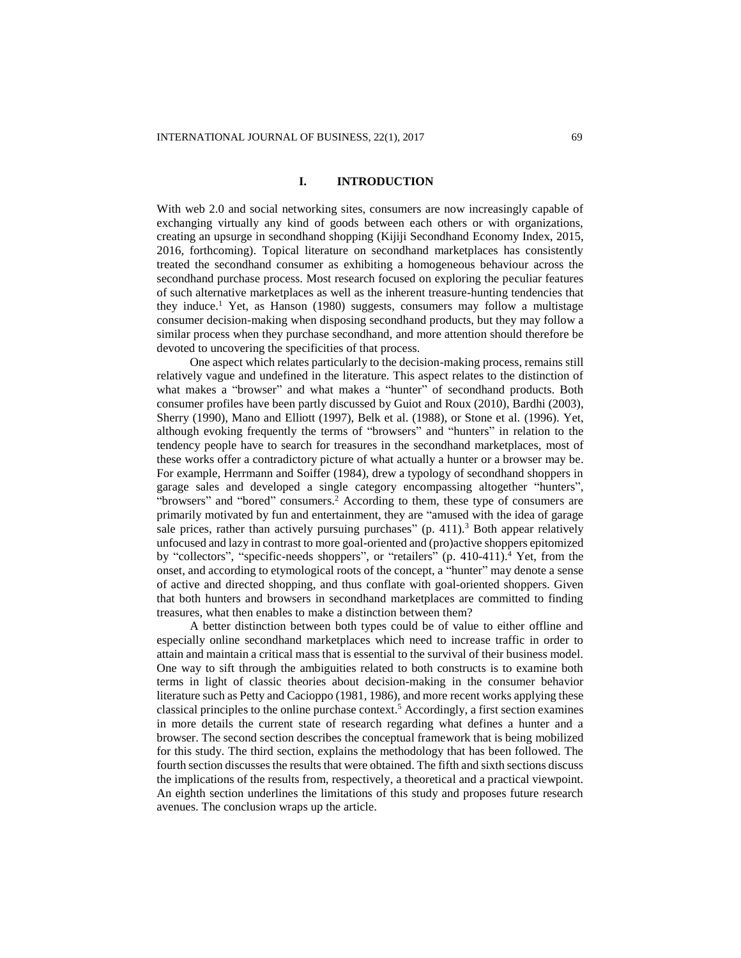# **I. INTRODUCTION**

With web 2.0 and social networking sites, consumers are now increasingly capable of exchanging virtually any kind of goods between each others or with organizations, creating an upsurge in secondhand shopping (Kijiji Secondhand Economy Index, 2015, 2016, forthcoming). Topical literature on secondhand marketplaces has consistently treated the secondhand consumer as exhibiting a homogeneous behaviour across the secondhand purchase process. Most research focused on exploring the peculiar features of such alternative marketplaces as well as the inherent treasure-hunting tendencies that they induce. <sup>1</sup> Yet, as Hanson (1980) suggests, consumers may follow a multistage consumer decision-making when disposing secondhand products, but they may follow a similar process when they purchase secondhand, and more attention should therefore be devoted to uncovering the specificities of that process.

One aspect which relates particularly to the decision-making process, remains still relatively vague and undefined in the literature. This aspect relates to the distinction of what makes a "browser" and what makes a "hunter" of secondhand products. Both consumer profiles have been partly discussed by Guiot and Roux (2010), Bardhi (2003), Sherry (1990), Mano and Elliott (1997), Belk et al. (1988), or Stone et al. (1996). Yet, although evoking frequently the terms of "browsers" and "hunters" in relation to the tendency people have to search for treasures in the secondhand marketplaces, most of these works offer a contradictory picture of what actually a hunter or a browser may be. For example, Herrmann and Soiffer (1984), drew a typology of secondhand shoppers in garage sales and developed a single category encompassing altogether "hunters", "browsers" and "bored" consumers. <sup>2</sup> According to them, these type of consumers are primarily motivated by fun and entertainment, they are "amused with the idea of garage sale prices, rather than actively pursuing purchases"  $(p. 411)^3$  Both appear relatively unfocused and lazy in contrast to more goal-oriented and (pro)active shoppers epitomized by "collectors", "specific-needs shoppers", or "retailers" (p. 410-411).<sup>4</sup> Yet, from the onset, and according to etymological roots of the concept, a "hunter" may denote a sense of active and directed shopping, and thus conflate with goal-oriented shoppers. Given that both hunters and browsers in secondhand marketplaces are committed to finding treasures, what then enables to make a distinction between them?

A better distinction between both types could be of value to either offline and especially online secondhand marketplaces which need to increase traffic in order to attain and maintain a critical mass that is essential to the survival of their business model. One way to sift through the ambiguities related to both constructs is to examine both terms in light of classic theories about decision-making in the consumer behavior literature such as Petty and Cacioppo (1981, 1986), and more recent works applying these classical principles to the online purchase context. <sup>5</sup> Accordingly, a first section examines in more details the current state of research regarding what defines a hunter and a browser. The second section describes the conceptual framework that is being mobilized for this study. The third section, explains the methodology that has been followed. The fourth section discusses the results that were obtained. The fifth and sixth sections discuss the implications of the results from, respectively, a theoretical and a practical viewpoint. An eighth section underlines the limitations of this study and proposes future research avenues. The conclusion wraps up the article.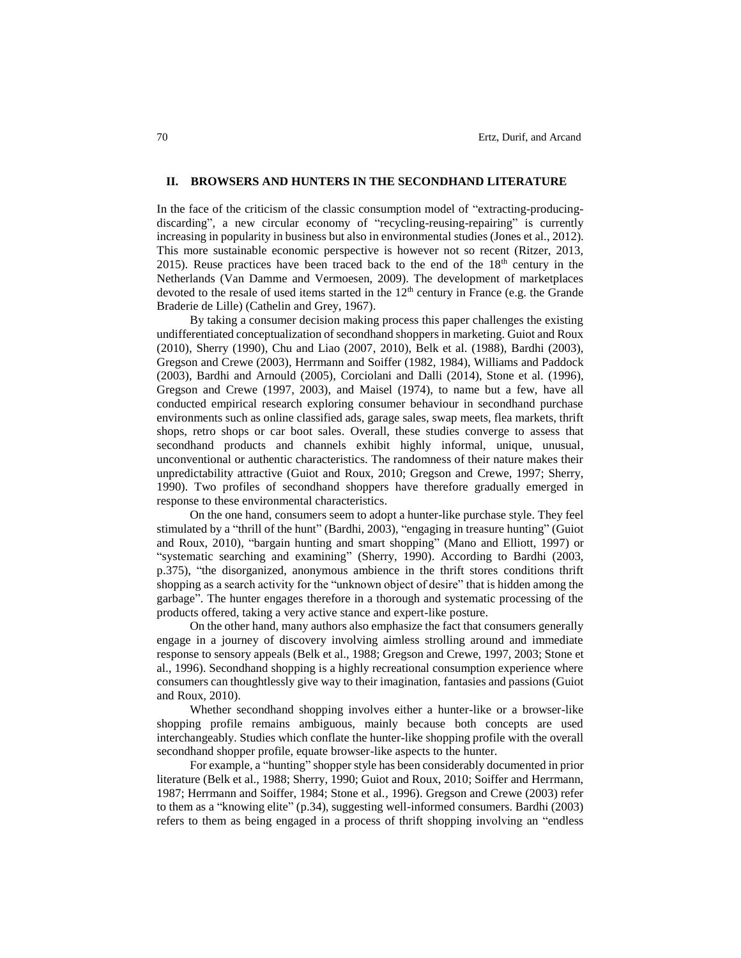## **II. BROWSERS AND HUNTERS IN THE SECONDHAND LITERATURE**

In the face of the criticism of the classic consumption model of "extracting-producingdiscarding", a new circular economy of "recycling-reusing-repairing" is currently increasing in popularity in business but also in environmental studies (Jones et al., 2012). This more sustainable economic perspective is however not so recent (Ritzer, 2013, 2015). Reuse practices have been traced back to the end of the  $18<sup>th</sup>$  century in the Netherlands (Van Damme and Vermoesen, 2009). The development of marketplaces devoted to the resale of used items started in the  $12<sup>th</sup>$  century in France (e.g. the Grande Braderie de Lille) (Cathelin and Grey, 1967).

By taking a consumer decision making process this paper challenges the existing undifferentiated conceptualization of secondhand shoppers in marketing. Guiot and Roux (2010), Sherry (1990), Chu and Liao (2007, 2010), Belk et al. (1988), Bardhi (2003), Gregson and Crewe (2003), Herrmann and Soiffer (1982, 1984), Williams and Paddock (2003), Bardhi and Arnould (2005), Corciolani and Dalli (2014), Stone et al. (1996), Gregson and Crewe (1997, 2003), and Maisel (1974), to name but a few, have all conducted empirical research exploring consumer behaviour in secondhand purchase environments such as online classified ads, garage sales, swap meets, flea markets, thrift shops, retro shops or car boot sales. Overall, these studies converge to assess that secondhand products and channels exhibit highly informal, unique, unusual, unconventional or authentic characteristics. The randomness of their nature makes their unpredictability attractive (Guiot and Roux, 2010; Gregson and Crewe, 1997; Sherry, 1990). Two profiles of secondhand shoppers have therefore gradually emerged in response to these environmental characteristics.

On the one hand, consumers seem to adopt a hunter-like purchase style. They feel stimulated by a "thrill of the hunt" (Bardhi, 2003), "engaging in treasure hunting" (Guiot and Roux, 2010), "bargain hunting and smart shopping" (Mano and Elliott, 1997) or "systematic searching and examining" (Sherry, 1990). According to Bardhi (2003, p.375), "the disorganized, anonymous ambience in the thrift stores conditions thrift shopping as a search activity for the "unknown object of desire" that is hidden among the garbage". The hunter engages therefore in a thorough and systematic processing of the products offered, taking a very active stance and expert-like posture.

On the other hand, many authors also emphasize the fact that consumers generally engage in a journey of discovery involving aimless strolling around and immediate response to sensory appeals (Belk et al., 1988; Gregson and Crewe, 1997, 2003; Stone et al., 1996). Secondhand shopping is a highly recreational consumption experience where consumers can thoughtlessly give way to their imagination, fantasies and passions (Guiot and Roux, 2010).

Whether secondhand shopping involves either a hunter-like or a browser-like shopping profile remains ambiguous, mainly because both concepts are used interchangeably. Studies which conflate the hunter-like shopping profile with the overall secondhand shopper profile, equate browser-like aspects to the hunter.

For example, a "hunting" shopper style has been considerably documented in prior literature (Belk et al., 1988; Sherry, 1990; Guiot and Roux, 2010; Soiffer and Herrmann, 1987; Herrmann and Soiffer, 1984; Stone et al., 1996). Gregson and Crewe (2003) refer to them as a "knowing elite" (p.34), suggesting well-informed consumers. Bardhi (2003) refers to them as being engaged in a process of thrift shopping involving an "endless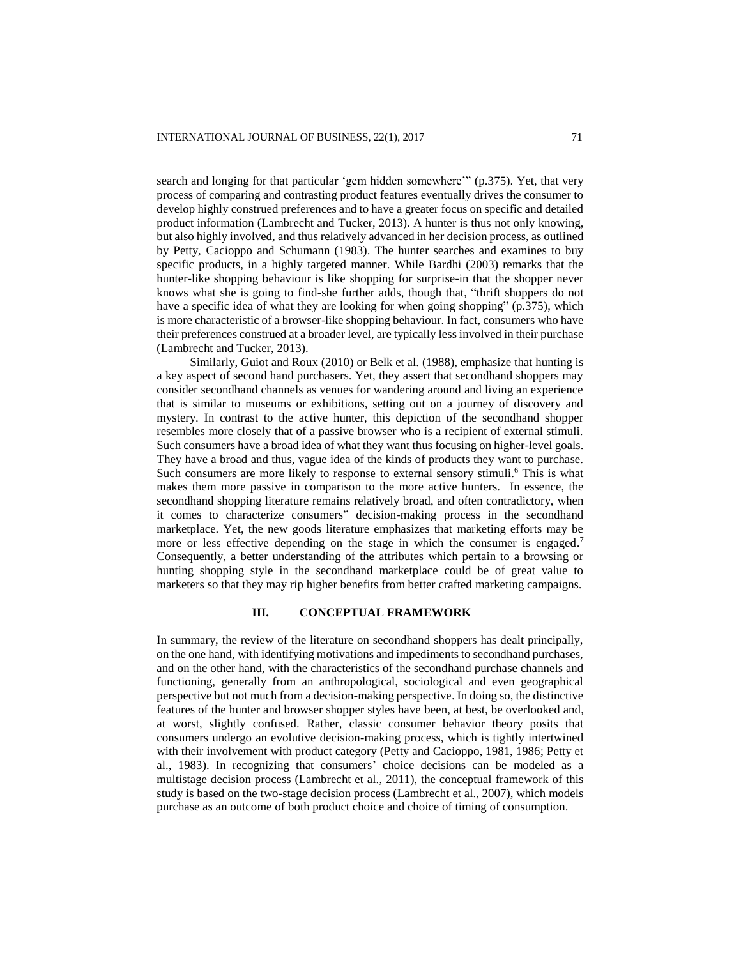search and longing for that particular 'gem hidden somewhere'" (p.375). Yet, that very process of comparing and contrasting product features eventually drives the consumer to develop highly construed preferences and to have a greater focus on specific and detailed product information (Lambrecht and Tucker, 2013). A hunter is thus not only knowing, but also highly involved, and thus relatively advanced in her decision process, as outlined by Petty, Cacioppo and Schumann (1983). The hunter searches and examines to buy specific products, in a highly targeted manner. While Bardhi (2003) remarks that the hunter-like shopping behaviour is like shopping for surprise-in that the shopper never knows what she is going to find-she further adds, though that, "thrift shoppers do not have a specific idea of what they are looking for when going shopping" (p.375), which is more characteristic of a browser-like shopping behaviour. In fact, consumers who have their preferences construed at a broader level, are typically less involved in their purchase (Lambrecht and Tucker, 2013).

Similarly, Guiot and Roux (2010) or Belk et al. (1988), emphasize that hunting is a key aspect of second hand purchasers. Yet, they assert that secondhand shoppers may consider secondhand channels as venues for wandering around and living an experience that is similar to museums or exhibitions, setting out on a journey of discovery and mystery. In contrast to the active hunter, this depiction of the secondhand shopper resembles more closely that of a passive browser who is a recipient of external stimuli. Such consumers have a broad idea of what they want thus focusing on higher-level goals. They have a broad and thus, vague idea of the kinds of products they want to purchase. Such consumers are more likely to response to external sensory stimuli.<sup>6</sup> This is what makes them more passive in comparison to the more active hunters. In essence, the secondhand shopping literature remains relatively broad, and often contradictory, when it comes to characterize consumers" decision-making process in the secondhand marketplace. Yet, the new goods literature emphasizes that marketing efforts may be more or less effective depending on the stage in which the consumer is engaged.<sup>7</sup> Consequently, a better understanding of the attributes which pertain to a browsing or hunting shopping style in the secondhand marketplace could be of great value to marketers so that they may rip higher benefits from better crafted marketing campaigns.

#### **III. CONCEPTUAL FRAMEWORK**

In summary, the review of the literature on secondhand shoppers has dealt principally, on the one hand, with identifying motivations and impediments to secondhand purchases, and on the other hand, with the characteristics of the secondhand purchase channels and functioning, generally from an anthropological, sociological and even geographical perspective but not much from a decision-making perspective. In doing so, the distinctive features of the hunter and browser shopper styles have been, at best, be overlooked and, at worst, slightly confused. Rather, classic consumer behavior theory posits that consumers undergo an evolutive decision-making process, which is tightly intertwined with their involvement with product category (Petty and Cacioppo, 1981, 1986; Petty et al., 1983). In recognizing that consumers' choice decisions can be modeled as a multistage decision process (Lambrecht et al., 2011), the conceptual framework of this study is based on the two-stage decision process (Lambrecht et al., 2007), which models purchase as an outcome of both product choice and choice of timing of consumption.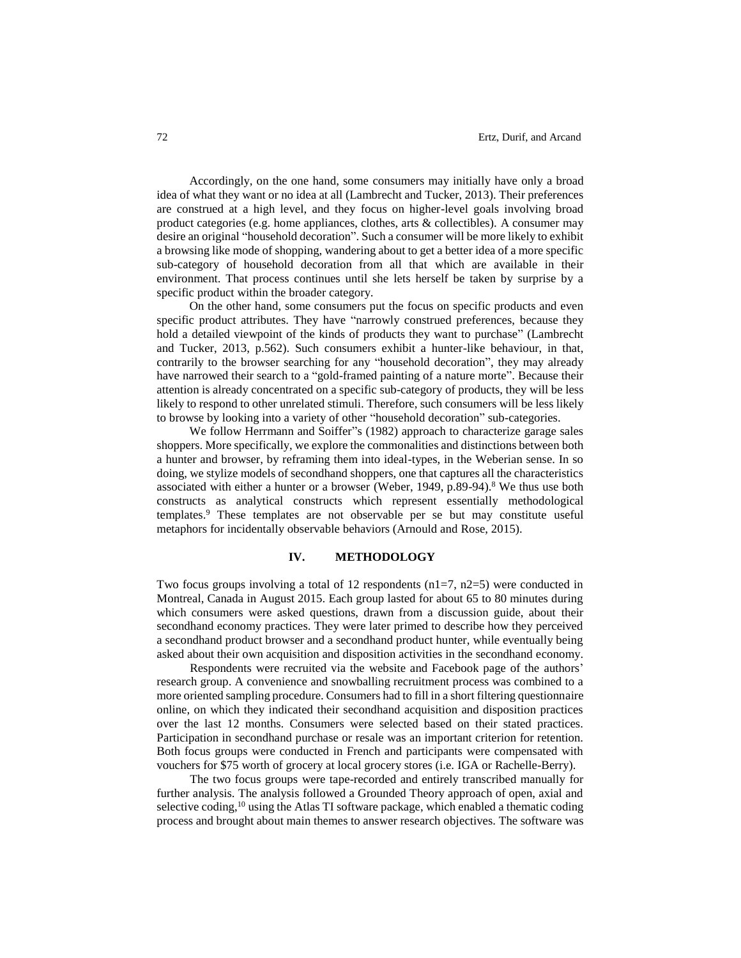Accordingly, on the one hand, some consumers may initially have only a broad idea of what they want or no idea at all (Lambrecht and Tucker, 2013). Their preferences are construed at a high level, and they focus on higher-level goals involving broad product categories (e.g. home appliances, clothes, arts & collectibles). A consumer may desire an original "household decoration". Such a consumer will be more likely to exhibit a browsing like mode of shopping, wandering about to get a better idea of a more specific sub-category of household decoration from all that which are available in their environment. That process continues until she lets herself be taken by surprise by a specific product within the broader category.

On the other hand, some consumers put the focus on specific products and even specific product attributes. They have "narrowly construed preferences, because they hold a detailed viewpoint of the kinds of products they want to purchase" (Lambrecht and Tucker, 2013, p.562). Such consumers exhibit a hunter-like behaviour, in that, contrarily to the browser searching for any "household decoration", they may already have narrowed their search to a "gold-framed painting of a nature morte". Because their attention is already concentrated on a specific sub-category of products, they will be less likely to respond to other unrelated stimuli. Therefore, such consumers will be less likely to browse by looking into a variety of other "household decoration" sub-categories.

We follow Herrmann and Soiffer"s (1982) approach to characterize garage sales shoppers. More specifically, we explore the commonalities and distinctions between both a hunter and browser, by reframing them into ideal-types, in the Weberian sense. In so doing, we stylize models of secondhand shoppers, one that captures all the characteristics associated with either a hunter or a browser (Weber, 1949, p.89-94).<sup>8</sup> We thus use both constructs as analytical constructs which represent essentially methodological templates. <sup>9</sup> These templates are not observable per se but may constitute useful metaphors for incidentally observable behaviors (Arnould and Rose, 2015).

#### **IV. METHODOLOGY**

Two focus groups involving a total of 12 respondents  $(n1=7, n2=5)$  were conducted in Montreal, Canada in August 2015. Each group lasted for about 65 to 80 minutes during which consumers were asked questions, drawn from a discussion guide, about their secondhand economy practices. They were later primed to describe how they perceived a secondhand product browser and a secondhand product hunter, while eventually being asked about their own acquisition and disposition activities in the secondhand economy.

Respondents were recruited via the website and Facebook page of the authors' research group. A convenience and snowballing recruitment process was combined to a more oriented sampling procedure. Consumers had to fill in a short filtering questionnaire online, on which they indicated their secondhand acquisition and disposition practices over the last 12 months. Consumers were selected based on their stated practices. Participation in secondhand purchase or resale was an important criterion for retention. Both focus groups were conducted in French and participants were compensated with vouchers for \$75 worth of grocery at local grocery stores (i.e. IGA or Rachelle-Berry).

The two focus groups were tape-recorded and entirely transcribed manually for further analysis. The analysis followed a Grounded Theory approach of open, axial and selective coding,<sup>10</sup> using the Atlas TI software package, which enabled a thematic coding process and brought about main themes to answer research objectives. The software was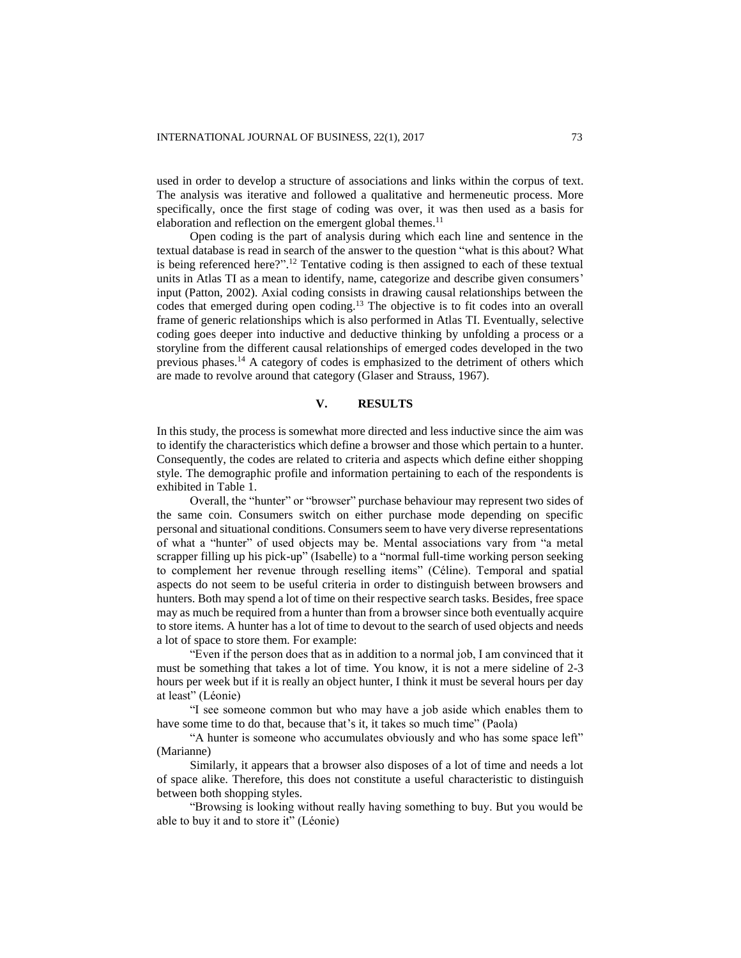used in order to develop a structure of associations and links within the corpus of text. The analysis was iterative and followed a qualitative and hermeneutic process. More specifically, once the first stage of coding was over, it was then used as a basis for elaboration and reflection on the emergent global themes.<sup>11</sup>

Open coding is the part of analysis during which each line and sentence in the textual database is read in search of the answer to the question "what is this about? What is being referenced here?". <sup>12</sup> Tentative coding is then assigned to each of these textual units in Atlas TI as a mean to identify, name, categorize and describe given consumers' input (Patton, 2002). Axial coding consists in drawing causal relationships between the codes that emerged during open coding. <sup>13</sup> The objective is to fit codes into an overall frame of generic relationships which is also performed in Atlas TI. Eventually, selective coding goes deeper into inductive and deductive thinking by unfolding a process or a storyline from the different causal relationships of emerged codes developed in the two previous phases.<sup>14</sup> A category of codes is emphasized to the detriment of others which are made to revolve around that category (Glaser and Strauss, 1967).

## **V. RESULTS**

In this study, the process is somewhat more directed and less inductive since the aim was to identify the characteristics which define a browser and those which pertain to a hunter. Consequently, the codes are related to criteria and aspects which define either shopping style. The demographic profile and information pertaining to each of the respondents is exhibited in Table 1.

Overall, the "hunter" or "browser" purchase behaviour may represent two sides of the same coin. Consumers switch on either purchase mode depending on specific personal and situational conditions. Consumers seem to have very diverse representations of what a "hunter" of used objects may be. Mental associations vary from "a metal scrapper filling up his pick-up" (Isabelle) to a "normal full-time working person seeking to complement her revenue through reselling items" (Céline). Temporal and spatial aspects do not seem to be useful criteria in order to distinguish between browsers and hunters. Both may spend a lot of time on their respective search tasks. Besides, free space may as much be required from a hunter than from a browser since both eventually acquire to store items. A hunter has a lot of time to devout to the search of used objects and needs a lot of space to store them. For example:

"Even if the person does that as in addition to a normal job, I am convinced that it must be something that takes a lot of time. You know, it is not a mere sideline of 2-3 hours per week but if it is really an object hunter, I think it must be several hours per day at least" (Léonie)

"I see someone common but who may have a job aside which enables them to have some time to do that, because that's it, it takes so much time" (Paola)

"A hunter is someone who accumulates obviously and who has some space left" (Marianne)

Similarly, it appears that a browser also disposes of a lot of time and needs a lot of space alike. Therefore, this does not constitute a useful characteristic to distinguish between both shopping styles.

"Browsing is looking without really having something to buy. But you would be able to buy it and to store it" (Léonie)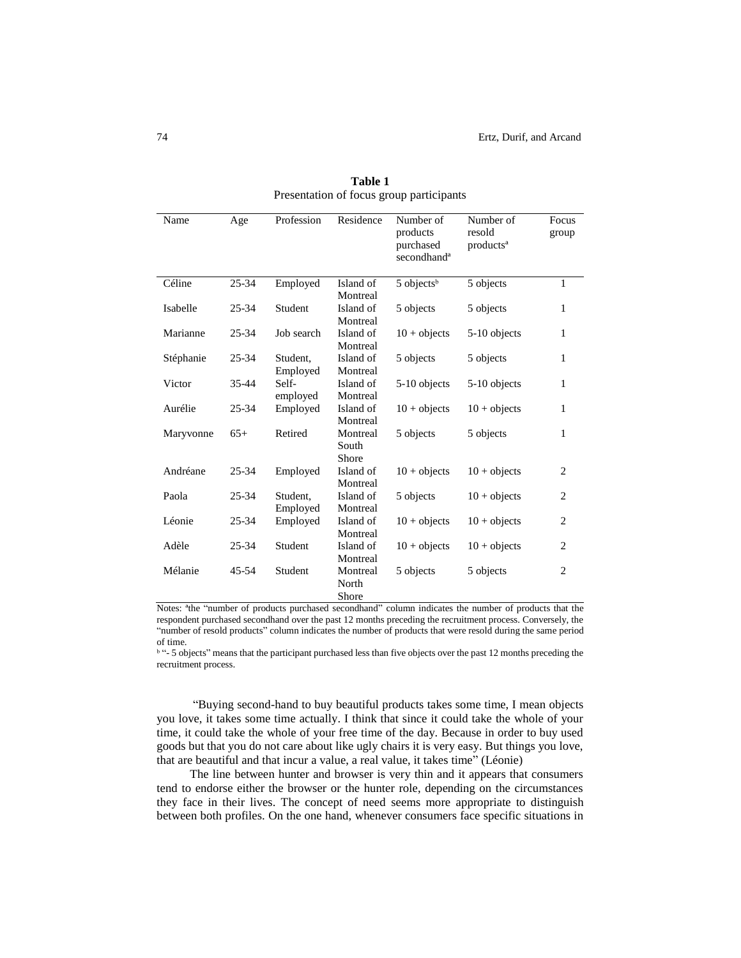| Name      | Age       | Profession | Residence | Number of<br>products<br>purchased<br>secondhand <sup>a</sup> | Number of<br>resold<br>products <sup>a</sup> | Focus<br>group |
|-----------|-----------|------------|-----------|---------------------------------------------------------------|----------------------------------------------|----------------|
| Céline    | 25-34     | Employed   | Island of | 5 objects <sup>b</sup>                                        | 5 objects                                    | $\mathbf{1}$   |
|           |           |            | Montreal  |                                                               |                                              |                |
| Isabelle  | 25-34     | Student    | Island of | 5 objects                                                     | 5 objects                                    | 1              |
|           |           |            | Montreal  |                                                               |                                              |                |
| Marianne  | 25-34     | Job search | Island of | $10 + objects$                                                | 5-10 objects                                 | 1              |
|           |           |            | Montreal  |                                                               |                                              |                |
| Stéphanie | $25 - 34$ | Student,   | Island of | 5 objects                                                     | 5 objects                                    | 1              |
|           |           | Employed   | Montreal  |                                                               |                                              |                |
| Victor    | 35-44     | Self-      | Island of | 5-10 objects                                                  | 5-10 objects                                 | 1              |
|           |           | employed   | Montreal  |                                                               |                                              |                |
| Aurélie   | 25-34     | Employed   | Island of | $10 + objects$                                                | $10 + objects$                               | 1              |
|           |           |            | Montreal  |                                                               |                                              |                |
| Maryvonne | $65+$     | Retired    | Montreal  | 5 objects                                                     | 5 objects                                    | 1              |
|           |           |            | South     |                                                               |                                              |                |
|           |           |            | Shore     |                                                               |                                              |                |
| Andréane  | 25-34     | Employed   | Island of | $10 + objects$                                                | $10 + objects$                               | $\overline{c}$ |
|           |           |            | Montreal  |                                                               |                                              |                |
| Paola     | $25 - 34$ | Student,   | Island of | 5 objects                                                     | $10 + objects$                               | $\overline{2}$ |
|           |           | Employed   | Montreal  |                                                               |                                              |                |
| Léonie    | 25-34     | Employed   | Island of | $10 + objects$                                                | $10 + objects$                               | $\overline{c}$ |
|           |           |            | Montreal  |                                                               |                                              |                |
| Adèle     | 25-34     | Student    | Island of | $10 + objects$                                                | $10 + objects$                               | $\overline{c}$ |
|           |           |            | Montreal  |                                                               |                                              |                |
| Mélanie   | 45-54     | Student    | Montreal  | 5 objects                                                     | 5 objects                                    | $\overline{c}$ |
|           |           |            | North     |                                                               |                                              |                |
|           |           |            | Shore     |                                                               |                                              |                |

**Table 1** Presentation of focus group participants

Notes: ªthe "number of products purchased secondhand" column indicates the number of products that the respondent purchased secondhand over the past 12 months preceding the recruitment process. Conversely, the "number of resold products" column indicates the number of products that were resold during the same period of time.

<sup>b</sup> "- 5 objects" means that the participant purchased less than five objects over the past 12 months preceding the recruitment process.

"Buying second-hand to buy beautiful products takes some time, I mean objects you love, it takes some time actually. I think that since it could take the whole of your time, it could take the whole of your free time of the day. Because in order to buy used goods but that you do not care about like ugly chairs it is very easy. But things you love, that are beautiful and that incur a value, a real value, it takes time" (Léonie)

The line between hunter and browser is very thin and it appears that consumers tend to endorse either the browser or the hunter role, depending on the circumstances they face in their lives. The concept of need seems more appropriate to distinguish between both profiles. On the one hand, whenever consumers face specific situations in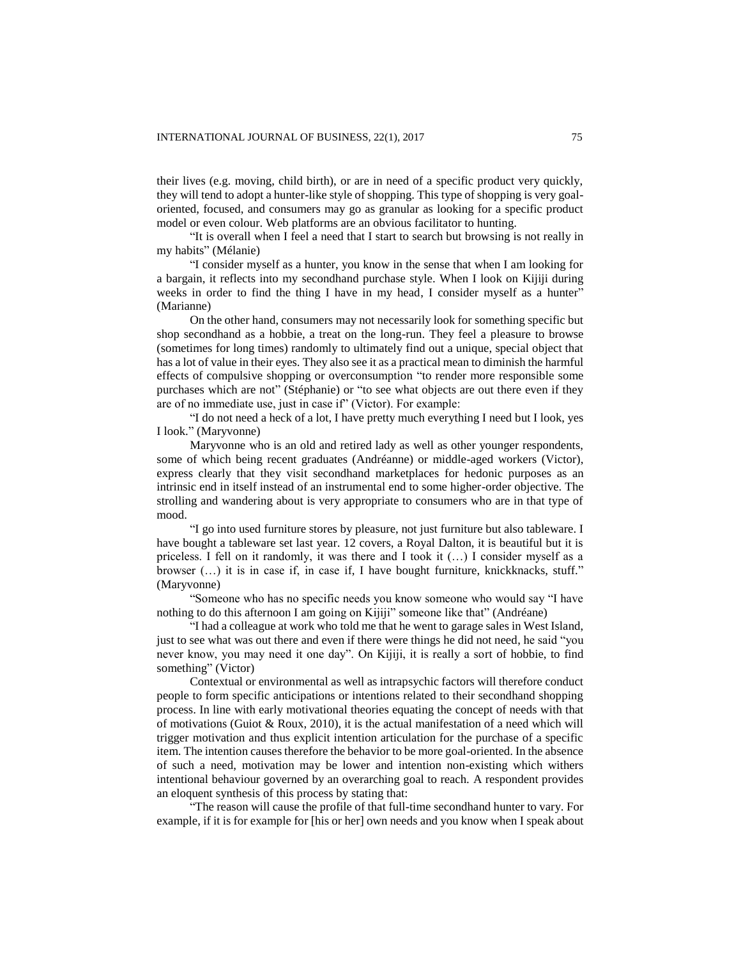their lives (e.g. moving, child birth), or are in need of a specific product very quickly, they will tend to adopt a hunter-like style of shopping. This type of shopping is very goaloriented, focused, and consumers may go as granular as looking for a specific product model or even colour. Web platforms are an obvious facilitator to hunting.

"It is overall when I feel a need that I start to search but browsing is not really in my habits" (Mélanie)

"I consider myself as a hunter, you know in the sense that when I am looking for a bargain, it reflects into my secondhand purchase style. When I look on Kijiji during weeks in order to find the thing I have in my head, I consider myself as a hunter" (Marianne)

On the other hand, consumers may not necessarily look for something specific but shop secondhand as a hobbie, a treat on the long-run. They feel a pleasure to browse (sometimes for long times) randomly to ultimately find out a unique, special object that has a lot of value in their eyes. They also see it as a practical mean to diminish the harmful effects of compulsive shopping or overconsumption "to render more responsible some purchases which are not" (Stéphanie) or "to see what objects are out there even if they are of no immediate use, just in case if" (Victor). For example:

"I do not need a heck of a lot, I have pretty much everything I need but I look, yes I look." (Maryvonne)

Maryvonne who is an old and retired lady as well as other younger respondents, some of which being recent graduates (Andréanne) or middle-aged workers (Victor), express clearly that they visit secondhand marketplaces for hedonic purposes as an intrinsic end in itself instead of an instrumental end to some higher-order objective. The strolling and wandering about is very appropriate to consumers who are in that type of mood.

"I go into used furniture stores by pleasure, not just furniture but also tableware. I have bought a tableware set last year. 12 covers, a Royal Dalton, it is beautiful but it is priceless. I fell on it randomly, it was there and I took it (…) I consider myself as a browser (…) it is in case if, in case if, I have bought furniture, knickknacks, stuff." (Maryvonne)

"Someone who has no specific needs you know someone who would say "I have nothing to do this afternoon I am going on Kijiji" someone like that" (Andréane)

"I had a colleague at work who told me that he went to garage sales in West Island, just to see what was out there and even if there were things he did not need, he said "you never know, you may need it one day". On Kijiji, it is really a sort of hobbie, to find something" (Victor)

Contextual or environmental as well as intrapsychic factors will therefore conduct people to form specific anticipations or intentions related to their secondhand shopping process. In line with early motivational theories equating the concept of needs with that of motivations (Guiot & Roux, 2010), it is the actual manifestation of a need which will trigger motivation and thus explicit intention articulation for the purchase of a specific item. The intention causes therefore the behavior to be more goal-oriented. In the absence of such a need, motivation may be lower and intention non-existing which withers intentional behaviour governed by an overarching goal to reach. A respondent provides an eloquent synthesis of this process by stating that:

"The reason will cause the profile of that full-time secondhand hunter to vary. For example, if it is for example for [his or her] own needs and you know when I speak about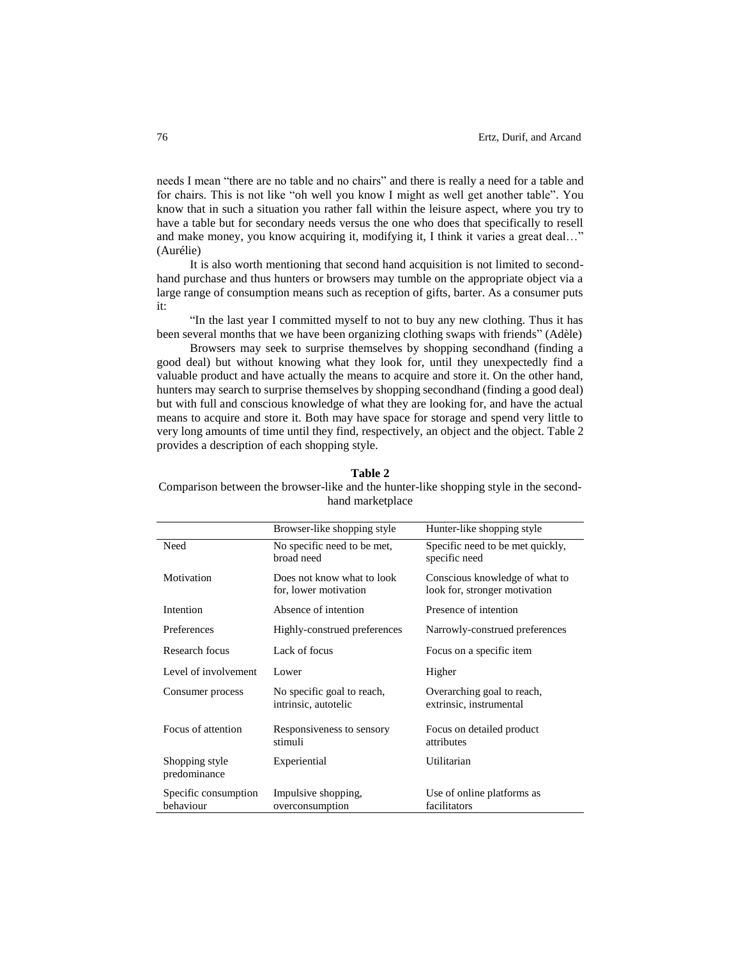needs I mean "there are no table and no chairs" and there is really a need for a table and for chairs. This is not like "oh well you know I might as well get another table". You know that in such a situation you rather fall within the leisure aspect, where you try to have a table but for secondary needs versus the one who does that specifically to resell and make money, you know acquiring it, modifying it, I think it varies a great deal…" (Aurélie)

It is also worth mentioning that second hand acquisition is not limited to secondhand purchase and thus hunters or browsers may tumble on the appropriate object via a large range of consumption means such as reception of gifts, barter. As a consumer puts it:

"In the last year I committed myself to not to buy any new clothing. Thus it has been several months that we have been organizing clothing swaps with friends" (Adèle)

Browsers may seek to surprise themselves by shopping secondhand (finding a good deal) but without knowing what they look for, until they unexpectedly find a valuable product and have actually the means to acquire and store it. On the other hand, hunters may search to surprise themselves by shopping secondhand (finding a good deal) but with full and conscious knowledge of what they are looking for, and have the actual means to acquire and store it. Both may have space for storage and spend very little to very long amounts of time until they find, respectively, an object and the object. Table 2 provides a description of each shopping style.

# **Table 2**

Comparison between the browser-like and the hunter-like shopping style in the secondhand marketplace

|                                   | Browser-like shopping style                         | Hunter-like shopping style                                      |  |
|-----------------------------------|-----------------------------------------------------|-----------------------------------------------------------------|--|
| Need                              | No specific need to be met,<br>broad need           | Specific need to be met quickly,<br>specific need               |  |
| Motivation                        | Does not know what to look<br>for, lower motivation | Conscious knowledge of what to<br>look for, stronger motivation |  |
| Intention                         | Absence of intention                                | Presence of intention                                           |  |
| Preferences                       | Highly-construed preferences                        | Narrowly-construed preferences                                  |  |
| Research focus                    | Lack of focus                                       | Focus on a specific item                                        |  |
| Level of involvement              | Lower                                               | Higher                                                          |  |
| Consumer process                  | No specific goal to reach,<br>intrinsic, autotelic  | Overarching goal to reach,<br>extrinsic, instrumental           |  |
| Focus of attention                | Responsiveness to sensory<br>stimuli                | Focus on detailed product<br>attributes                         |  |
| Shopping style<br>predominance    | Experiential                                        | Utilitarian                                                     |  |
| Specific consumption<br>behaviour | Impulsive shopping,<br>overconsumption              | Use of online platforms as<br>facilitators                      |  |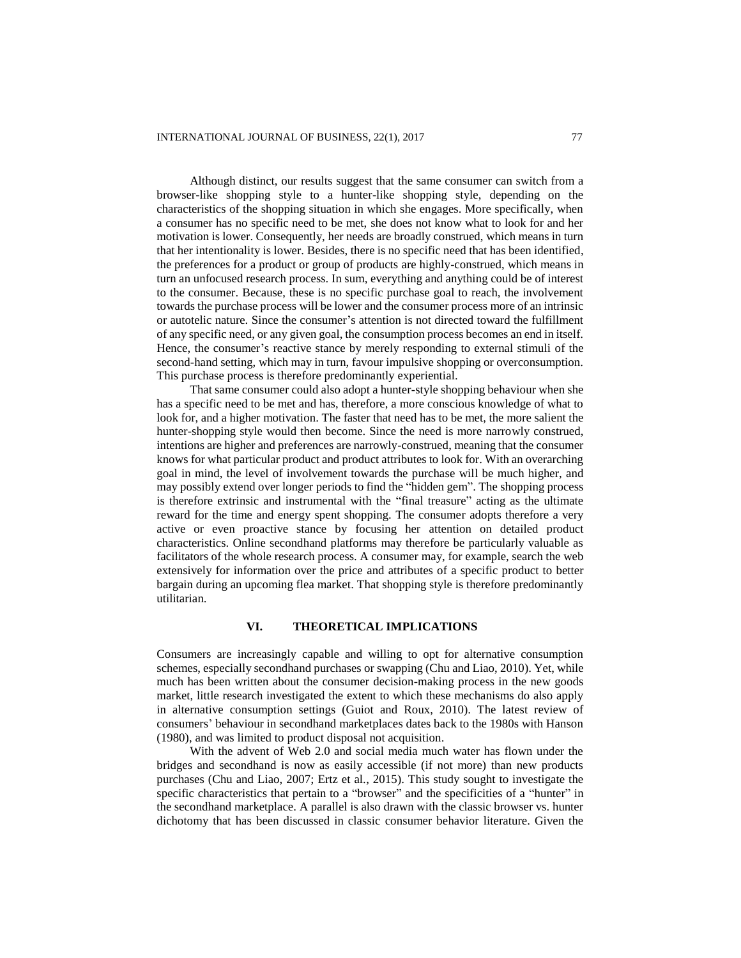Although distinct, our results suggest that the same consumer can switch from a browser-like shopping style to a hunter-like shopping style, depending on the characteristics of the shopping situation in which she engages. More specifically, when a consumer has no specific need to be met, she does not know what to look for and her motivation is lower. Consequently, her needs are broadly construed, which means in turn that her intentionality is lower. Besides, there is no specific need that has been identified, the preferences for a product or group of products are highly-construed, which means in turn an unfocused research process. In sum, everything and anything could be of interest to the consumer. Because, these is no specific purchase goal to reach, the involvement towards the purchase process will be lower and the consumer process more of an intrinsic or autotelic nature. Since the consumer's attention is not directed toward the fulfillment of any specific need, or any given goal, the consumption process becomes an end in itself. Hence, the consumer's reactive stance by merely responding to external stimuli of the second-hand setting, which may in turn, favour impulsive shopping or overconsumption. This purchase process is therefore predominantly experiential.

That same consumer could also adopt a hunter-style shopping behaviour when she has a specific need to be met and has, therefore, a more conscious knowledge of what to look for, and a higher motivation. The faster that need has to be met, the more salient the hunter-shopping style would then become. Since the need is more narrowly construed, intentions are higher and preferences are narrowly-construed, meaning that the consumer knows for what particular product and product attributes to look for. With an overarching goal in mind, the level of involvement towards the purchase will be much higher, and may possibly extend over longer periods to find the "hidden gem". The shopping process is therefore extrinsic and instrumental with the "final treasure" acting as the ultimate reward for the time and energy spent shopping. The consumer adopts therefore a very active or even proactive stance by focusing her attention on detailed product characteristics. Online secondhand platforms may therefore be particularly valuable as facilitators of the whole research process. A consumer may, for example, search the web extensively for information over the price and attributes of a specific product to better bargain during an upcoming flea market. That shopping style is therefore predominantly utilitarian.

# **VI. THEORETICAL IMPLICATIONS**

Consumers are increasingly capable and willing to opt for alternative consumption schemes, especially secondhand purchases or swapping (Chu and Liao, 2010). Yet, while much has been written about the consumer decision-making process in the new goods market, little research investigated the extent to which these mechanisms do also apply in alternative consumption settings (Guiot and Roux, 2010). The latest review of consumers' behaviour in secondhand marketplaces dates back to the 1980s with Hanson (1980), and was limited to product disposal not acquisition.

With the advent of Web 2.0 and social media much water has flown under the bridges and secondhand is now as easily accessible (if not more) than new products purchases (Chu and Liao, 2007; Ertz et al., 2015). This study sought to investigate the specific characteristics that pertain to a "browser" and the specificities of a "hunter" in the secondhand marketplace. A parallel is also drawn with the classic browser vs. hunter dichotomy that has been discussed in classic consumer behavior literature. Given the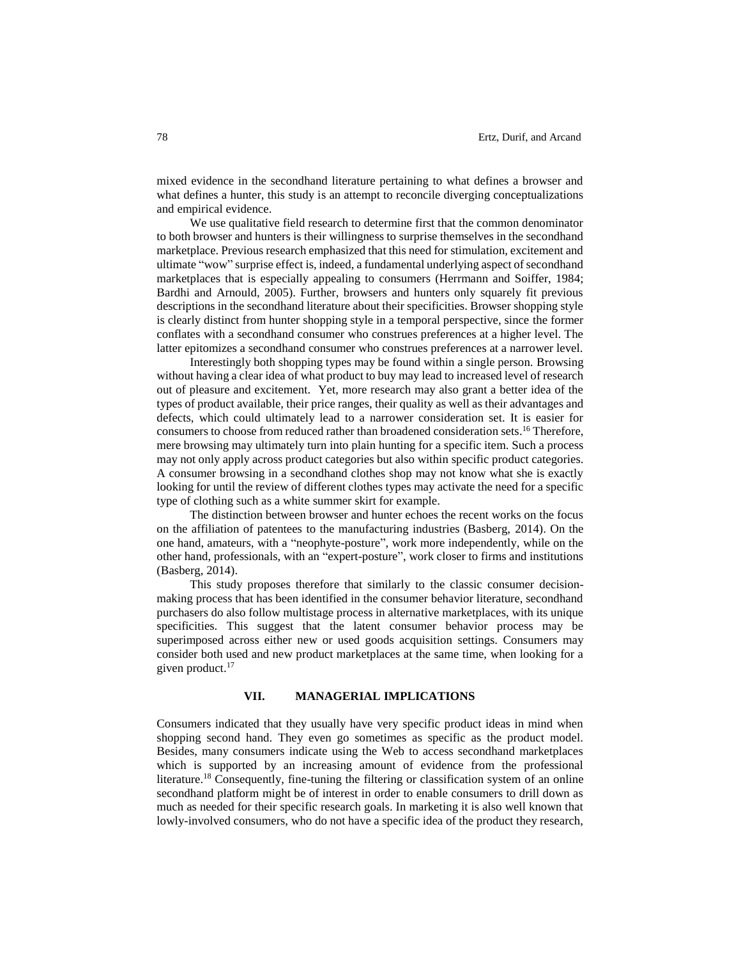mixed evidence in the secondhand literature pertaining to what defines a browser and what defines a hunter, this study is an attempt to reconcile diverging conceptualizations and empirical evidence.

We use qualitative field research to determine first that the common denominator to both browser and hunters is their willingness to surprise themselves in the secondhand marketplace. Previous research emphasized that this need for stimulation, excitement and ultimate "wow" surprise effect is, indeed, a fundamental underlying aspect of secondhand marketplaces that is especially appealing to consumers (Herrmann and Soiffer, 1984; Bardhi and Arnould, 2005). Further, browsers and hunters only squarely fit previous descriptions in the secondhand literature about their specificities. Browser shopping style is clearly distinct from hunter shopping style in a temporal perspective, since the former conflates with a secondhand consumer who construes preferences at a higher level. The latter epitomizes a secondhand consumer who construes preferences at a narrower level.

Interestingly both shopping types may be found within a single person. Browsing without having a clear idea of what product to buy may lead to increased level of research out of pleasure and excitement. Yet, more research may also grant a better idea of the types of product available, their price ranges, their quality as well as their advantages and defects, which could ultimately lead to a narrower consideration set. It is easier for consumers to choose from reduced rather than broadened consideration sets. <sup>16</sup> Therefore, mere browsing may ultimately turn into plain hunting for a specific item. Such a process may not only apply across product categories but also within specific product categories. A consumer browsing in a secondhand clothes shop may not know what she is exactly looking for until the review of different clothes types may activate the need for a specific type of clothing such as a white summer skirt for example.

The distinction between browser and hunter echoes the recent works on the focus on the affiliation of patentees to the manufacturing industries (Basberg, 2014). On the one hand, amateurs, with a "neophyte-posture", work more independently, while on the other hand, professionals, with an "expert-posture", work closer to firms and institutions (Basberg, 2014).

This study proposes therefore that similarly to the classic consumer decisionmaking process that has been identified in the consumer behavior literature, secondhand purchasers do also follow multistage process in alternative marketplaces, with its unique specificities. This suggest that the latent consumer behavior process may be superimposed across either new or used goods acquisition settings. Consumers may consider both used and new product marketplaces at the same time, when looking for a given product. 17

## **VII. MANAGERIAL IMPLICATIONS**

Consumers indicated that they usually have very specific product ideas in mind when shopping second hand. They even go sometimes as specific as the product model. Besides, many consumers indicate using the Web to access secondhand marketplaces which is supported by an increasing amount of evidence from the professional literature.<sup>18</sup> Consequently, fine-tuning the filtering or classification system of an online secondhand platform might be of interest in order to enable consumers to drill down as much as needed for their specific research goals. In marketing it is also well known that lowly-involved consumers, who do not have a specific idea of the product they research,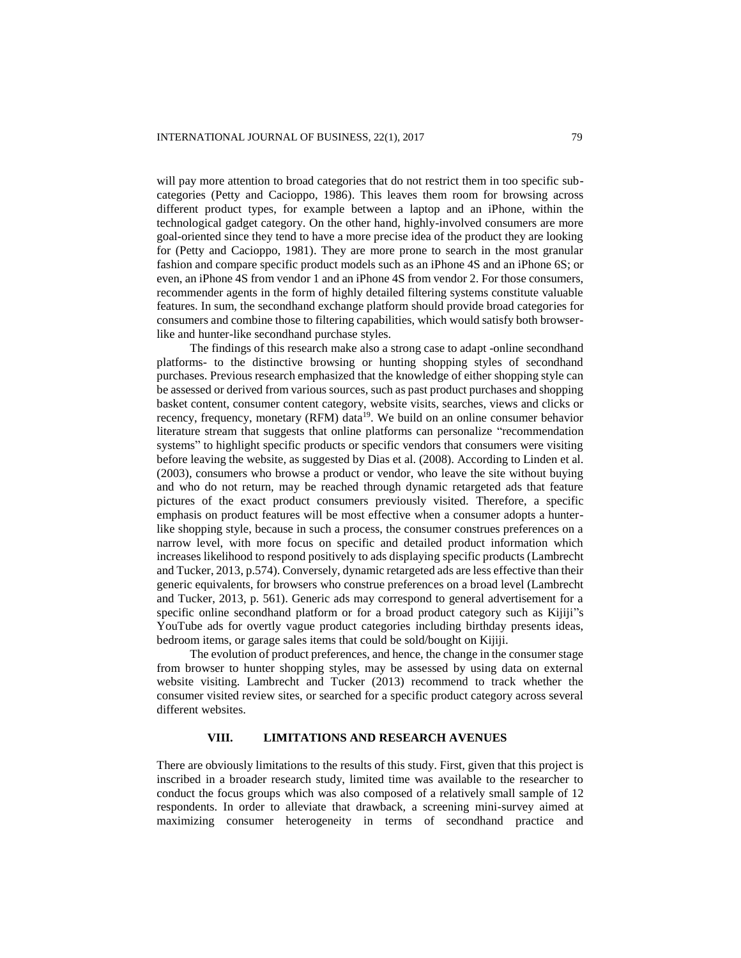will pay more attention to broad categories that do not restrict them in too specific subcategories (Petty and Cacioppo, 1986). This leaves them room for browsing across different product types, for example between a laptop and an iPhone, within the technological gadget category. On the other hand, highly-involved consumers are more goal-oriented since they tend to have a more precise idea of the product they are looking for (Petty and Cacioppo, 1981). They are more prone to search in the most granular fashion and compare specific product models such as an iPhone 4S and an iPhone 6S; or even, an iPhone 4S from vendor 1 and an iPhone 4S from vendor 2. For those consumers, recommender agents in the form of highly detailed filtering systems constitute valuable features. In sum, the secondhand exchange platform should provide broad categories for consumers and combine those to filtering capabilities, which would satisfy both browserlike and hunter-like secondhand purchase styles.

The findings of this research make also a strong case to adapt -online secondhand platforms- to the distinctive browsing or hunting shopping styles of secondhand purchases. Previous research emphasized that the knowledge of either shopping style can be assessed or derived from various sources, such as past product purchases and shopping basket content, consumer content category, website visits, searches, views and clicks or recency, frequency, monetary (RFM) data<sup>19</sup>. We build on an online consumer behavior literature stream that suggests that online platforms can personalize "recommendation systems" to highlight specific products or specific vendors that consumers were visiting before leaving the website, as suggested by Dias et al. (2008). According to Linden et al. (2003), consumers who browse a product or vendor, who leave the site without buying and who do not return, may be reached through dynamic retargeted ads that feature pictures of the exact product consumers previously visited. Therefore, a specific emphasis on product features will be most effective when a consumer adopts a hunterlike shopping style, because in such a process, the consumer construes preferences on a narrow level, with more focus on specific and detailed product information which increases likelihood to respond positively to ads displaying specific products (Lambrecht and Tucker, 2013, p.574). Conversely, dynamic retargeted ads are less effective than their generic equivalents, for browsers who construe preferences on a broad level (Lambrecht and Tucker, 2013, p. 561). Generic ads may correspond to general advertisement for a specific online secondhand platform or for a broad product category such as Kijiji"s YouTube ads for overtly vague product categories including birthday presents ideas, bedroom items, or garage sales items that could be sold/bought on Kijiji.

The evolution of product preferences, and hence, the change in the consumer stage from browser to hunter shopping styles, may be assessed by using data on external website visiting. Lambrecht and Tucker (2013) recommend to track whether the consumer visited review sites, or searched for a specific product category across several different websites.

# **VIII. LIMITATIONS AND RESEARCH AVENUES**

There are obviously limitations to the results of this study. First, given that this project is inscribed in a broader research study, limited time was available to the researcher to conduct the focus groups which was also composed of a relatively small sample of 12 respondents. In order to alleviate that drawback, a screening mini-survey aimed at maximizing consumer heterogeneity in terms of secondhand practice and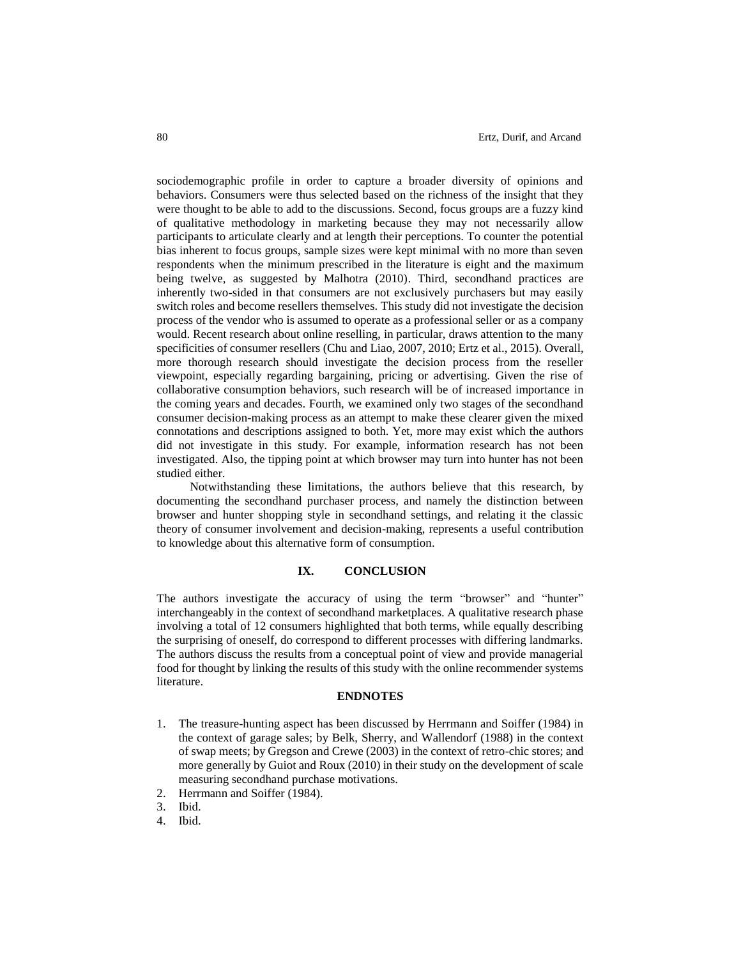sociodemographic profile in order to capture a broader diversity of opinions and behaviors. Consumers were thus selected based on the richness of the insight that they were thought to be able to add to the discussions. Second, focus groups are a fuzzy kind of qualitative methodology in marketing because they may not necessarily allow participants to articulate clearly and at length their perceptions. To counter the potential bias inherent to focus groups, sample sizes were kept minimal with no more than seven respondents when the minimum prescribed in the literature is eight and the maximum being twelve, as suggested by Malhotra (2010). Third, secondhand practices are inherently two-sided in that consumers are not exclusively purchasers but may easily switch roles and become resellers themselves. This study did not investigate the decision process of the vendor who is assumed to operate as a professional seller or as a company would. Recent research about online reselling, in particular, draws attention to the many specificities of consumer resellers (Chu and Liao, 2007, 2010; Ertz et al., 2015). Overall, more thorough research should investigate the decision process from the reseller viewpoint, especially regarding bargaining, pricing or advertising. Given the rise of collaborative consumption behaviors, such research will be of increased importance in the coming years and decades. Fourth, we examined only two stages of the secondhand consumer decision-making process as an attempt to make these clearer given the mixed connotations and descriptions assigned to both. Yet, more may exist which the authors did not investigate in this study. For example, information research has not been investigated. Also, the tipping point at which browser may turn into hunter has not been studied either.

Notwithstanding these limitations, the authors believe that this research, by documenting the secondhand purchaser process, and namely the distinction between browser and hunter shopping style in secondhand settings, and relating it the classic theory of consumer involvement and decision-making, represents a useful contribution to knowledge about this alternative form of consumption.

#### **IX. CONCLUSION**

The authors investigate the accuracy of using the term "browser" and "hunter" interchangeably in the context of secondhand marketplaces. A qualitative research phase involving a total of 12 consumers highlighted that both terms, while equally describing the surprising of oneself, do correspond to different processes with differing landmarks. The authors discuss the results from a conceptual point of view and provide managerial food for thought by linking the results of this study with the online recommender systems literature.

#### **ENDNOTES**

- 1. The treasure-hunting aspect has been discussed by Herrmann and Soiffer (1984) in the context of garage sales; by Belk, Sherry, and Wallendorf (1988) in the context of swap meets; by Gregson and Crewe (2003) in the context of retro-chic stores; and more generally by Guiot and Roux (2010) in their study on the development of scale measuring secondhand purchase motivations.
- 2. Herrmann and Soiffer (1984).

4. Ibid.

<sup>3.</sup> Ibid.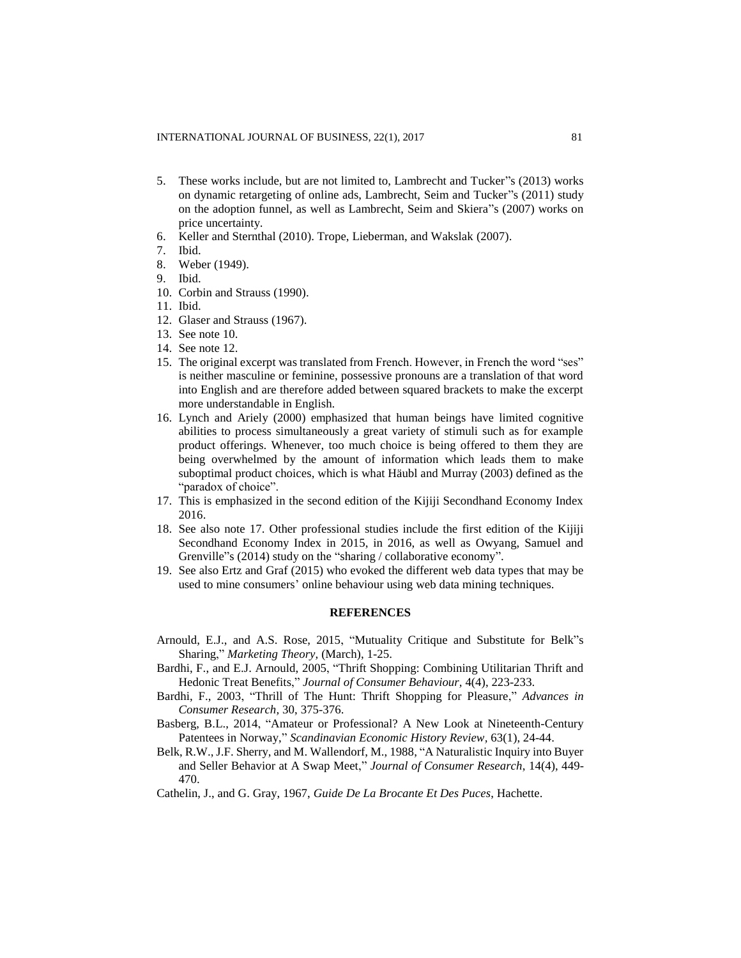- 5. These works include, but are not limited to, Lambrecht and Tucker"s (2013) works on dynamic retargeting of online ads, Lambrecht, Seim and Tucker"s (2011) study on the adoption funnel, as well as Lambrecht, Seim and Skiera"s (2007) works on price uncertainty.
- 6. Keller and Sternthal (2010). Trope, Lieberman, and Wakslak (2007).
- 7. Ibid.
- 8. Weber (1949).
- 9. Ibid.
- 10. Corbin and Strauss (1990).
- 11. Ibid.
- 12. Glaser and Strauss (1967).
- 13. See note 10.
- 14. See note 12.
- 15. The original excerpt was translated from French. However, in French the word "ses" is neither masculine or feminine, possessive pronouns are a translation of that word into English and are therefore added between squared brackets to make the excerpt more understandable in English.
- 16. Lynch and Ariely (2000) emphasized that human beings have limited cognitive abilities to process simultaneously a great variety of stimuli such as for example product offerings. Whenever, too much choice is being offered to them they are being overwhelmed by the amount of information which leads them to make suboptimal product choices, which is what Häubl and Murray (2003) defined as the "paradox of choice".
- 17. This is emphasized in the second edition of the Kijiji Secondhand Economy Index 2016.
- 18. See also note 17. Other professional studies include the first edition of the Kijiji Secondhand Economy Index in 2015, in 2016, as well as Owyang, Samuel and Grenville"s (2014) study on the "sharing / collaborative economy".
- 19. See also Ertz and Graf (2015) who evoked the different web data types that may be used to mine consumers' online behaviour using web data mining techniques.

## **REFERENCES**

- Arnould, E.J., and A.S. Rose, 2015, "Mutuality Critique and Substitute for Belk"s Sharing," *Marketing Theory,* (March), 1-25.
- Bardhi, F., and E.J. Arnould, 2005, "Thrift Shopping: Combining Utilitarian Thrift and Hedonic Treat Benefits," *Journal of Consumer Behaviour,* 4(4), 223-233.
- Bardhi, F., 2003, "Thrill of The Hunt: Thrift Shopping for Pleasure," *Advances in Consumer Research,* 30, 375-376.
- Basberg, B.L., 2014, "Amateur or Professional? A New Look at Nineteenth-Century Patentees in Norway," *Scandinavian Economic History Review,* 63(1), 24-44.
- Belk, R.W., J.F. Sherry, and M. Wallendorf, M., 1988, "A Naturalistic Inquiry into Buyer and Seller Behavior at A Swap Meet," *Journal of Consumer Research*, 14(4), 449- 470.
- Cathelin, J., and G. Gray, 1967, *Guide De La Brocante Et Des Puces*, Hachette.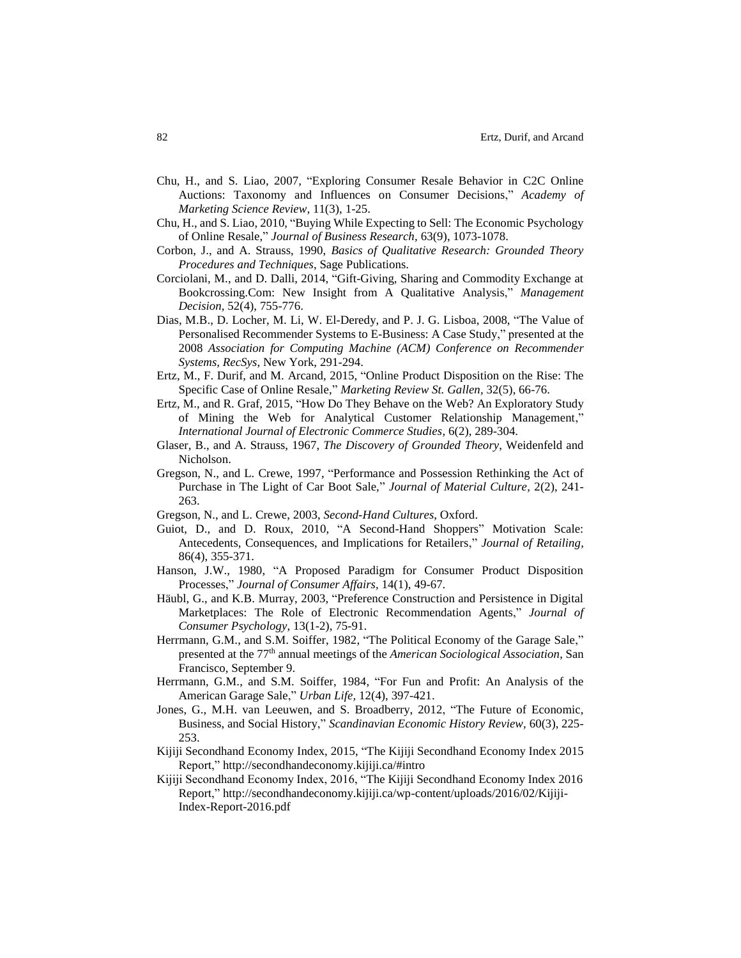- Chu, H., and S. Liao, 2007, "Exploring Consumer Resale Behavior in C2C Online Auctions: Taxonomy and Influences on Consumer Decisions," *Academy of Marketing Science Review,* 11(3), 1-25.
- Chu, H., and S. Liao, 2010, "Buying While Expecting to Sell: The Economic Psychology of Online Resale," *Journal of Business Research,* 63(9), 1073-1078.
- Corbon, J., and A. Strauss, 1990, *Basics of Qualitative Research: Grounded Theory Procedures and Techniques*, Sage Publications.
- Corciolani, M., and D. Dalli, 2014, "Gift-Giving, Sharing and Commodity Exchange at Bookcrossing.Com: New Insight from A Qualitative Analysis," *Management Decision,* 52(4), 755-776.
- Dias, M.B., D. Locher, M. Li, W. El-Deredy, and P. J. G. Lisboa, 2008, "The Value of Personalised Recommender Systems to E-Business: A Case Study," presented at the 2008 *Association for Computing Machine (ACM) Conference on Recommender Systems, RecSys*, New York, 291-294.
- Ertz, M., F. Durif, and M. Arcand, 2015, "Online Product Disposition on the Rise: The Specific Case of Online Resale," *Marketing Review St. Gallen,* 32(5), 66-76.
- Ertz, M., and R. Graf, 2015, "How Do They Behave on the Web? An Exploratory Study of Mining the Web for Analytical Customer Relationship Management," *International Journal of Electronic Commerce Studies,* 6(2), 289-304.
- Glaser, B., and A. Strauss, 1967, *The Discovery of Grounded Theory*, Weidenfeld and Nicholson.
- Gregson, N., and L. Crewe, 1997, "Performance and Possession Rethinking the Act of Purchase in The Light of Car Boot Sale," *Journal of Material Culture,* 2(2), 241- 263.
- Gregson, N., and L. Crewe, 2003, *Second-Hand Cultures*, Oxford.
- Guiot, D., and D. Roux, 2010, "A Second-Hand Shoppers" Motivation Scale: Antecedents, Consequences, and Implications for Retailers," *Journal of Retailing,* 86(4), 355-371.
- Hanson, J.W., 1980, "A Proposed Paradigm for Consumer Product Disposition Processes," *Journal of Consumer Affairs,* 14(1), 49-67.
- Häubl, G., and K.B. Murray, 2003, "Preference Construction and Persistence in Digital Marketplaces: The Role of Electronic Recommendation Agents," *Journal of Consumer Psychology,* 13(1-2), 75-91.
- Herrmann, G.M., and S.M. Soiffer, 1982, "The Political Economy of the Garage Sale," presented at the 77th annual meetings of the *American Sociological Association*, San Francisco, September 9.
- Herrmann, G.M., and S.M. Soiffer, 1984, "For Fun and Profit: An Analysis of the American Garage Sale," *Urban Life,* 12(4), 397-421.
- Jones, G., M.H. van Leeuwen, and S. Broadberry, 2012, "The Future of Economic, Business, and Social History," *Scandinavian Economic History Review,* 60(3), 225- 253.
- Kijiji Secondhand Economy Index, 2015, "The Kijiji Secondhand Economy Index 2015 Report," <http://secondhandeconomy.kijiji.ca/#intro>
- Kijiji Secondhand Economy Index, 2016, "The Kijiji Secondhand Economy Index 2016 Report," http://secondhandeconomy.kijiji.ca/wp-content/uploads/2016/02/Kijiji-Index-Report-2016.pdf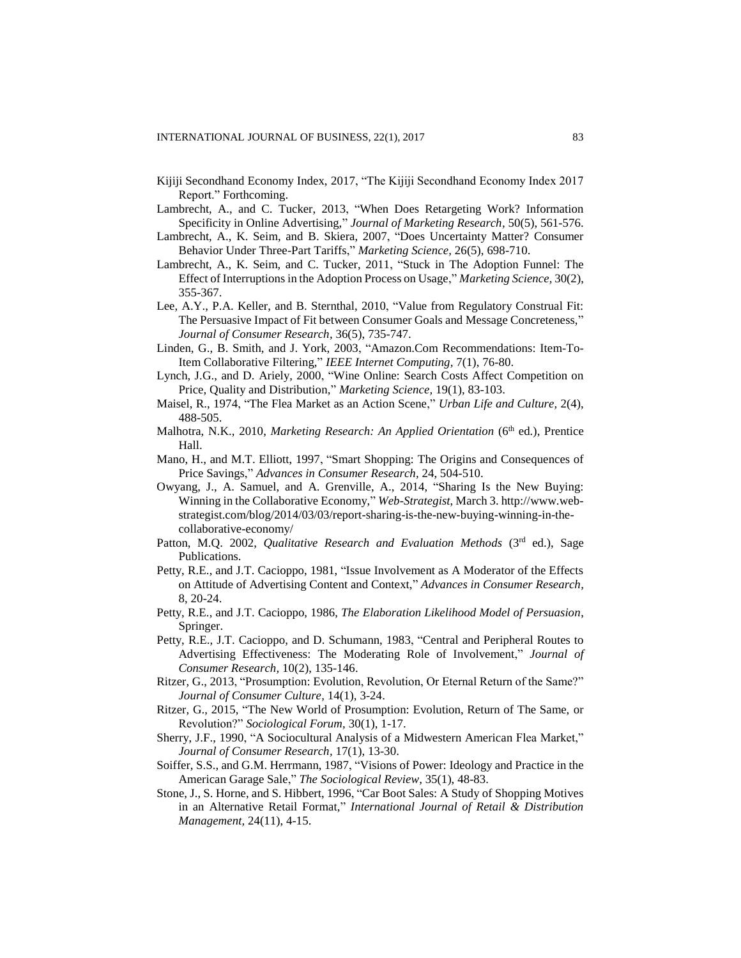- Kijiji Secondhand Economy Index, 2017, "The Kijiji Secondhand Economy Index 2017 Report." Forthcoming.
- Lambrecht, A., and C. Tucker, 2013, "When Does Retargeting Work? Information Specificity in Online Advertising," *Journal of Marketing Research,* 50(5), 561-576.
- Lambrecht, A., K. Seim, and B. Skiera, 2007, "Does Uncertainty Matter? Consumer Behavior Under Three-Part Tariffs," *Marketing Science,* 26(5), 698-710.
- Lambrecht, A., K. Seim, and C. Tucker, 2011, "Stuck in The Adoption Funnel: The Effect of Interruptions in the Adoption Process on Usage," *Marketing Science,* 30(2), 355-367.
- Lee, A.Y., P.A. Keller, and B. Sternthal, 2010, "Value from Regulatory Construal Fit: The Persuasive Impact of Fit between Consumer Goals and Message Concreteness," *Journal of Consumer Research,* 36(5), 735-747.
- Linden, G., B. Smith, and J. York, 2003, "Amazon.Com Recommendations: Item-To-Item Collaborative Filtering," *IEEE Internet Computing,* 7(1), 76-80.
- Lynch, J.G., and D. Ariely, 2000, "Wine Online: Search Costs Affect Competition on Price, Quality and Distribution," *Marketing Science,* 19(1), 83-103.
- Maisel, R., 1974, "The Flea Market as an Action Scene," *Urban Life and Culture,* 2(4), 488-505.
- Malhotra, N.K., 2010, *Marketing Research: An Applied Orientation* (6<sup>th</sup> ed.), Prentice Hall.
- Mano, H., and M.T. Elliott, 1997, "Smart Shopping: The Origins and Consequences of Price Savings," *Advances in Consumer Research,* 24, 504-510.
- Owyang, J., A. Samuel, and A. Grenville, A., 2014, "Sharing Is the New Buying: Winning in the Collaborative Economy," *Web-Strategist*, March 3[. http://www.web](http://www.web-strategist.com/blog/2014/03/03/report-sharing-is-the-new-buying-winning-in-the-collaborative-economy/)[strategist.com/blog/2014/03/03/report-sharing-is-the-new-buying-winning-in-the](http://www.web-strategist.com/blog/2014/03/03/report-sharing-is-the-new-buying-winning-in-the-collaborative-economy/)[collaborative-economy/](http://www.web-strategist.com/blog/2014/03/03/report-sharing-is-the-new-buying-winning-in-the-collaborative-economy/)
- Patton, M.Q. 2002, *Qualitative Research and Evaluation Methods* (3<sup>rd</sup> ed.), Sage Publications.
- Petty, R.E., and J.T. Cacioppo, 1981, "Issue Involvement as A Moderator of the Effects on Attitude of Advertising Content and Context," *Advances in Consumer Research,* 8, 20-24.
- Petty, R.E., and J.T. Cacioppo, 1986, *The Elaboration Likelihood Model of Persuasion*, Springer.
- Petty, R.E., J.T. Cacioppo, and D. Schumann, 1983, "Central and Peripheral Routes to Advertising Effectiveness: The Moderating Role of Involvement," *Journal of Consumer Research,* 10(2), 135-146.
- Ritzer, G., 2013, "Prosumption: Evolution, Revolution, Or Eternal Return of the Same?" *Journal of Consumer Culture,* 14(1), 3-24.
- Ritzer, G., 2015, "The New World of Prosumption: Evolution, Return of The Same, or Revolution?" *Sociological Forum,* 30(1), 1-17.
- Sherry, J.F., 1990, "A Sociocultural Analysis of a Midwestern American Flea Market," *Journal of Consumer Research,* 17(1), 13-30.
- Soiffer, S.S., and G.M. Herrmann, 1987, "Visions of Power: Ideology and Practice in the American Garage Sale," *The Sociological Review,* 35(1), 48-83.
- Stone, J., S. Horne, and S. Hibbert, 1996, "Car Boot Sales: A Study of Shopping Motives in an Alternative Retail Format," *International Journal of Retail & Distribution Management,* 24(11), 4-15.